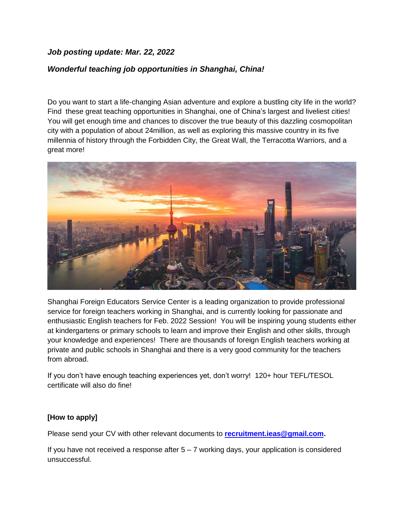## *Job posting update: Mar. 22, 2022*

# *Wonderful teaching job opportunities in Shanghai, China!*

Do you want to start a life-changing Asian adventure and explore a bustling city life in the world? Find these great teaching opportunities in Shanghai, one of China's largest and liveliest cities! You will get enough time and chances to discover the true beauty of this dazzling cosmopolitan city with a population of about 24million, as well as exploring this massive country in its five millennia of history through the Forbidden City, the Great Wall, the Terracotta Warriors, and a great more!



Shanghai Foreign Educators Service Center is a leading organization to provide professional service for foreign teachers working in Shanghai, and is currently looking for passionate and enthusiastic English teachers for Feb. 2022 Session! You will be inspiring young students either at kindergartens or primary schools to learn and improve their English and other skills, through your knowledge and experiences! There are thousands of foreign English teachers working at private and public schools in Shanghai and there is a very good community for the teachers from abroad.

If you don't have enough teaching experiences yet, don't worry! 120+ hour TEFL/TESOL certificate will also do fine!

#### **[How to apply]**

Please send your CV with other relevant documents to **[recruitment.ieas@gmail.com.](mailto:recruitment.ieas@gmail.com)** 

If you have not received a response after  $5 - 7$  working days, your application is considered unsuccessful.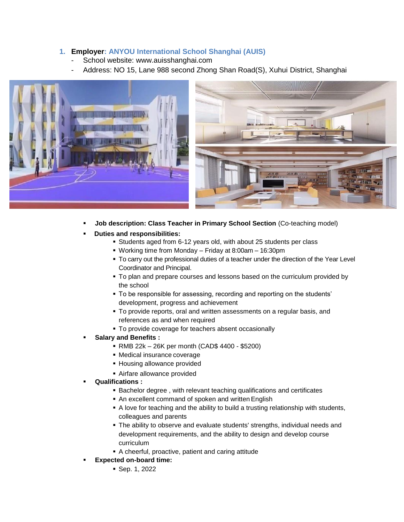### **1. Employer: ANYOU International School Shanghai (AUIS)**

- School website: [www.auisshanghai.com](http://www.auisshanghai.com/)
- Address: NO 15, Lane 988 second Zhong Shan Road(S), Xuhui District, Shanghai





- **Job description: Class Teacher in Primary School Section** (Co-teaching model)
- **Duties and responsibilities:**
	- Students aged from 6-12 years old, with about 25 students per class
	- Working time from Monday Friday at 8:00am 16:30pm
	- To carry out the professional duties of a teacher under the direction of the Year Level Coordinator and Principal.
	- To plan and prepare courses and lessons based on the curriculum provided by the school
	- To be responsible for assessing, recording and reporting on the students' development, progress and achievement
	- To provide reports, oral and written assessments on a regular basis, and references as and when required
	- To provide coverage for teachers absent occasionally
- **Salary and Benefits :**
	- RMB 22k 26K per month (CAD\$ 4400 \$5200)
	- Medical insurance coverage
	- **Housing allowance provided**
	- Airfare allowance provided
- **Qualifications :**
	- **Bachelor degree, with relevant teaching qualifications and certificates**
	- An excellent command of spoken and written English
	- A love for teaching and the ability to build a trusting relationship with students, colleagues and parents
	- The ability to observe and evaluate students' strengths, individual needs and development requirements, and the ability to design and develop course curriculum
	- A cheerful, proactive, patient and caring attitude
- **Expected on-board time:**
	- Sep. 1, 2022